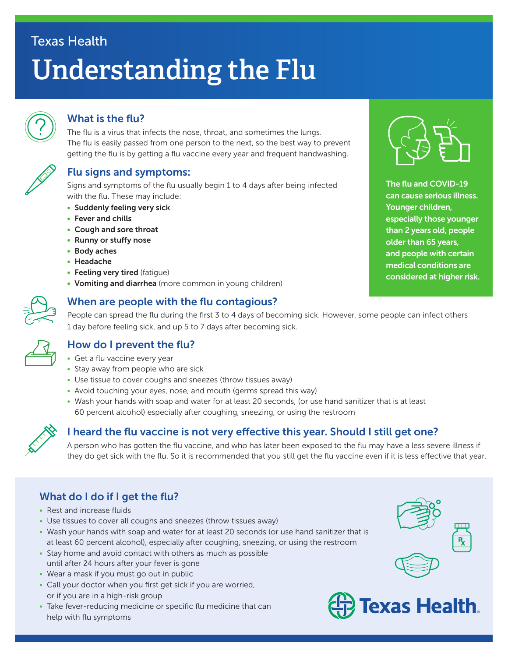# **Understanding the Flu** Texas Health



#### What is the flu?

The flu is a virus that infects the nose, throat, and sometimes the lungs. The flu is easily passed from one person to the next, so the best way to prevent getting the flu is by getting a flu vaccine every year and frequent handwashing.



#### Flu signs and symptoms:

Signs and symptoms of the flu usually begin 1 to 4 days after being infected with the flu. These may include:

- Suddenly feeling very sick
- Fever and chills
- Cough and sore throat
- Runny or stuffy nose
- Body aches
- Headache
- Feeling very tired (fatique)
- Vomiting and diarrhea (more common in young children)



#### When are people with the flu contagious?

People can spread the flu during the first 3 to 4 days of becoming sick. However, some people can infect others 1 day before feeling sick, and up 5 to 7 days after becoming sick.



### How do I prevent the flu?

- Get a flu vaccine every year
- Stay away from people who are sick
- Use tissue to cover coughs and sneezes (throw tissues away)
- Avoid touching your eyes, nose, and mouth (germs spread this way)
- Wash your hands with soap and water for at least 20 seconds, (or use hand sanitizer that is at least 60 percent alcohol) especially after coughing, sneezing, or using the restroom



#### I heard the flu vaccine is not very effective this year. Should I still get one?

A person who has gotten the flu vaccine, and who has later been exposed to the flu may have a less severe illness if they do get sick with the flu. So it is recommended that you still get the flu vaccine even if it is less effective that year.

#### What do I do if I get the flu?

- Rest and increase fluids
- Use tissues to cover all coughs and sneezes (throw tissues away)
- Wash your hands with soap and water for at least 20 seconds (or use hand sanitizer that is at least 60 percent alcohol), especially after coughing, sneezing, or using the restroom
- Stay home and avoid contact with others as much as possible until after 24 hours after your fever is gone
- Wear a mask if you must go out in public
- Call your doctor when you first get sick if you are worried, or if you are in a high-risk group
- Take fever-reducing medicine or specific flu medicine that can help with flu symptoms







The flu and COVID-19 can cause serious illness. Younger children, especially those younger than 2 years old, people older than 65 years, and people with certain medical conditions are considered at higher risk.